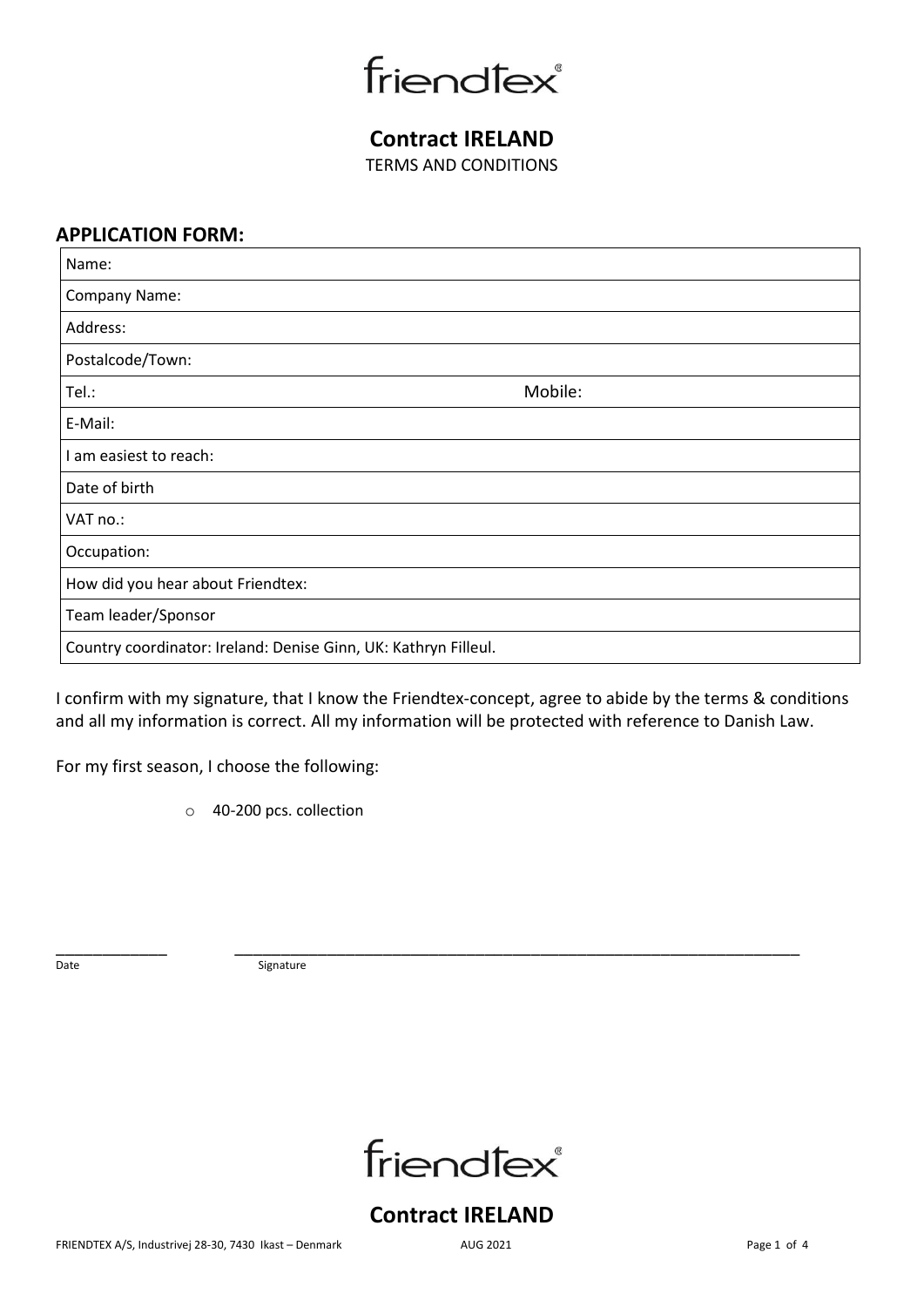friendfex®

**Contract IRELAND**  TERMS AND CONDITIONS

## **APPLICATION FORM:**

| Name:                                                           |         |  |
|-----------------------------------------------------------------|---------|--|
| Company Name:                                                   |         |  |
| Address:                                                        |         |  |
| Postalcode/Town:                                                |         |  |
| Tel.:                                                           | Mobile: |  |
| E-Mail:                                                         |         |  |
| I am easiest to reach:                                          |         |  |
| Date of birth                                                   |         |  |
| VAT no.:                                                        |         |  |
| Occupation:                                                     |         |  |
| How did you hear about Friendtex:                               |         |  |
| Team leader/Sponsor                                             |         |  |
| Country coordinator: Ireland: Denise Ginn, UK: Kathryn Filleul. |         |  |

I confirm with my signature, that I know the Friendtex-concept, agree to abide by the terms & conditions and all my information is correct. All my information will be protected with reference to Danish Law.

For my first season, I choose the following:

o 40-200 pcs. collection

\_\_\_\_\_\_\_\_\_\_\_\_ \_\_\_\_\_\_\_\_\_\_\_\_\_\_\_\_\_\_\_\_\_\_\_\_\_\_\_\_\_\_\_\_\_\_\_\_\_\_\_\_\_\_\_\_\_\_\_\_\_\_\_\_\_\_\_\_\_\_\_\_\_ Date Signature



# **Contract IRELAND**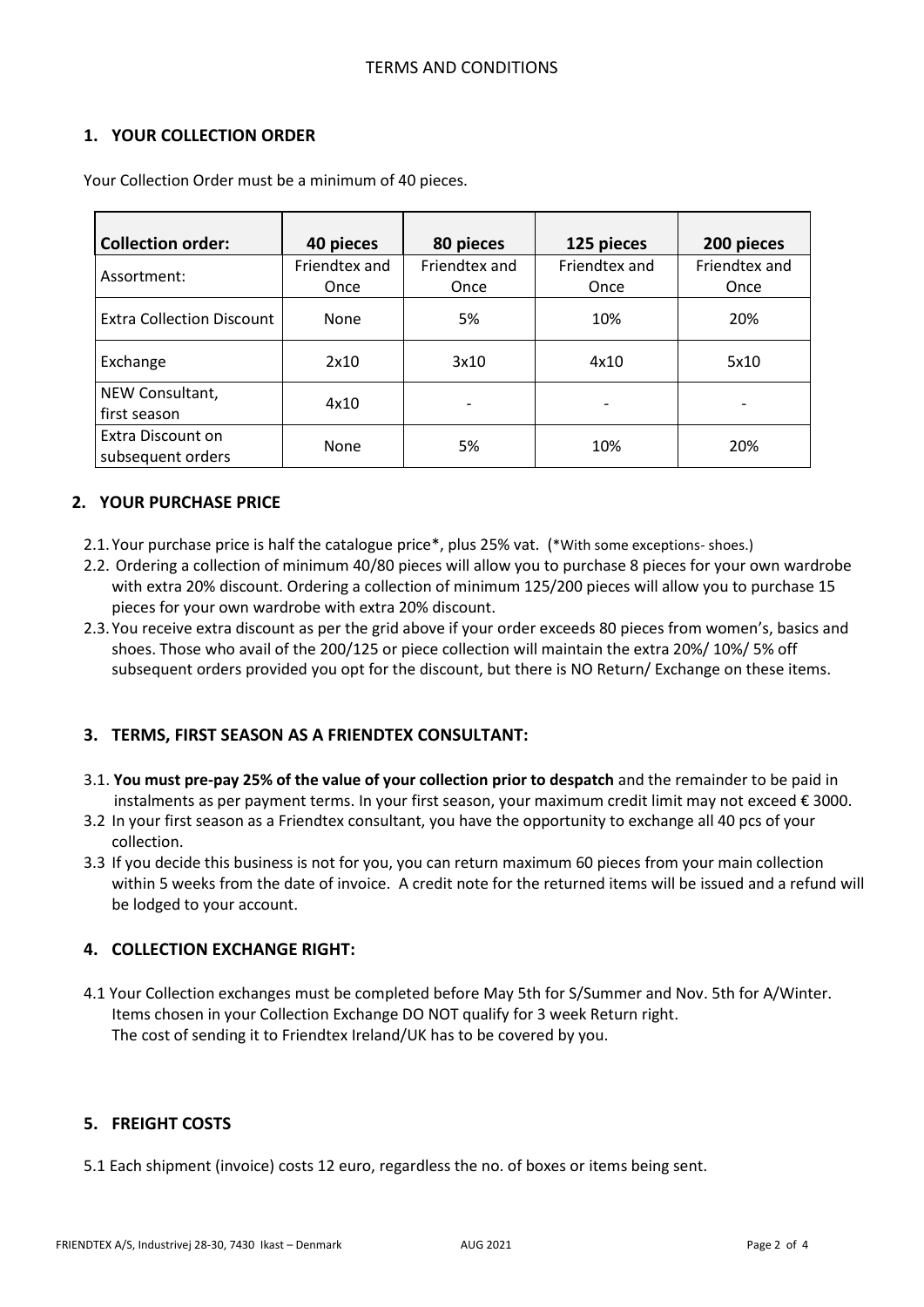## **1. YOUR COLLECTION ORDER**

| <b>Collection order:</b>               | 40 pieces             | 80 pieces             | 125 pieces            | 200 pieces            |
|----------------------------------------|-----------------------|-----------------------|-----------------------|-----------------------|
| Assortment:                            | Friendtex and<br>Once | Friendtex and<br>Once | Friendtex and<br>Once | Friendtex and<br>Once |
| <b>Extra Collection Discount</b>       | None                  | 5%                    | 10%                   | 20%                   |
| Exchange                               | 2x10                  | 3x10                  | 4x10                  | 5x10                  |
| NEW Consultant,<br>first season        | 4x10                  |                       |                       |                       |
| Extra Discount on<br>subsequent orders | None                  | 5%                    | 10%                   | 20%                   |

Your Collection Order must be a minimum of 40 pieces.

## **2. YOUR PURCHASE PRICE**

- 2.1.Your purchase price is half the catalogue price\*, plus 25% vat. (\*With some exceptions- shoes.)
- 2.2. Ordering a collection of minimum 40/80 pieces will allow you to purchase 8 pieces for your own wardrobe with extra 20% discount. Ordering a collection of minimum 125/200 pieces will allow you to purchase 15 pieces for your own wardrobe with extra 20% discount.
- 2.3.You receive extra discount as per the grid above if your order exceeds 80 pieces from women's, basics and shoes. Those who avail of the 200/125 or piece collection will maintain the extra 20%/ 10%/ 5% off subsequent orders provided you opt for the discount, but there is NO Return/ Exchange on these items.

## **3. TERMS, FIRST SEASON AS A FRIENDTEX CONSULTANT:**

- 3.1. **You must pre-pay 25% of the value of your collection prior to despatch** and the remainder to be paid in instalments as per payment terms. In your first season, your maximum credit limit may not exceed € 3000.
- 3.2 In your first season as a Friendtex consultant, you have the opportunity to exchange all 40 pcs of your collection.
- 3.3 If you decide this business is not for you, you can return maximum 60 pieces from your main collection within 5 weeks from the date of invoice. A credit note for the returned items will be issued and a refund will be lodged to your account.

## **4. COLLECTION EXCHANGE RIGHT:**

4.1 Your Collection exchanges must be completed before May 5th for S/Summer and Nov. 5th for A/Winter. Items chosen in your Collection Exchange DO NOT qualify for 3 week Return right. The cost of sending it to Friendtex Ireland/UK has to be covered by you.

## **5. FREIGHT COSTS**

5.1 Each shipment (invoice) costs 12 euro, regardless the no. of boxes or items being sent.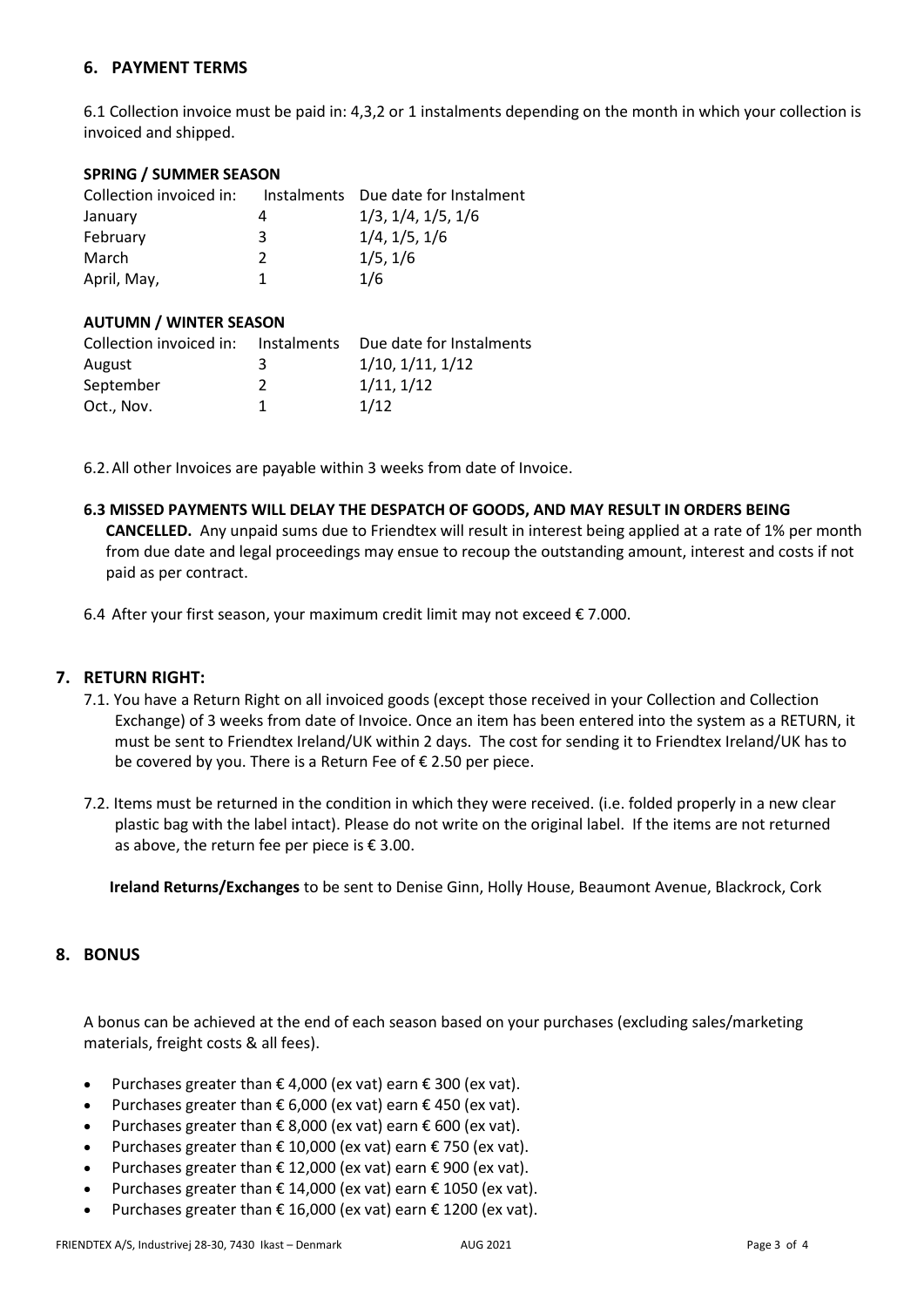### **6. PAYMENT TERMS**

6.1 Collection invoice must be paid in: 4,3,2 or 1 instalments depending on the month in which your collection is invoiced and shipped.

#### **SPRING / SUMMER SEASON**

| Collection invoiced in: |   | Instalments Due date for Instalment |
|-------------------------|---|-------------------------------------|
| January                 | 4 | 1/3, 1/4, 1/5, 1/6                  |
| February                | 3 | 1/4, 1/5, 1/6                       |
| March                   | 2 | 1/5, 1/6                            |
| April, May,             |   | 1/6                                 |

#### **AUTUMN / WINTER SEASON**

| Collection invoiced in: | Instalments | Due date for Instalments |
|-------------------------|-------------|--------------------------|
| August                  | ર           | 1/10, 1/11, 1/12         |
| September               |             | 1/11, 1/12               |
| Oct., Nov.              |             | 1/12                     |

6.2.All other Invoices are payable within 3 weeks from date of Invoice.

#### **6.3 MISSED PAYMENTS WILL DELAY THE DESPATCH OF GOODS, AND MAY RESULT IN ORDERS BEING**

**CANCELLED.** Any unpaid sums due to Friendtex will result in interest being applied at a rate of 1% per month from due date and legal proceedings may ensue to recoup the outstanding amount, interest and costs if not paid as per contract.

6.4 After your first season, your maximum credit limit may not exceed € 7.000.

### **7. RETURN RIGHT:**

- 7.1. You have a Return Right on all invoiced goods (except those received in your Collection and Collection Exchange) of 3 weeks from date of Invoice. Once an item has been entered into the system as a RETURN, it must be sent to Friendtex Ireland/UK within 2 days. The cost for sending it to Friendtex Ireland/UK has to be covered by you. There is a Return Fee of € 2.50 per piece.
- 7.2. Items must be returned in the condition in which they were received. (i.e. folded properly in a new clear plastic bag with the label intact). Please do not write on the original label. If the items are not returned as above, the return fee per piece is  $\epsilon$  3.00.

**Ireland Returns/Exchanges** to be sent to Denise Ginn, Holly House, Beaumont Avenue, Blackrock, Cork

### **8. BONUS**

A bonus can be achieved at the end of each season based on your purchases (excluding sales/marketing materials, freight costs & all fees).

- Purchases greater than  $\epsilon$  4,000 (ex vat) earn  $\epsilon$  300 (ex vat).
- Purchases greater than  $\epsilon$  6,000 (ex vat) earn  $\epsilon$  450 (ex vat).
- Purchases greater than  $\epsilon$  8,000 (ex vat) earn  $\epsilon$  600 (ex vat).
- Purchases greater than € 10,000 (ex vat) earn € 750 (ex vat).
- Purchases greater than  $\epsilon$  12,000 (ex vat) earn  $\epsilon$  900 (ex vat).
- Purchases greater than  $\epsilon$  14,000 (ex vat) earn  $\epsilon$  1050 (ex vat).
- Purchases greater than  $\epsilon$  16,000 (ex vat) earn  $\epsilon$  1200 (ex vat).